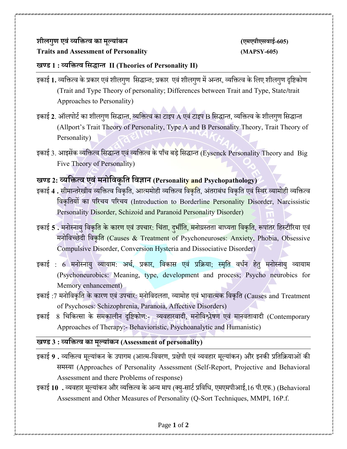## **शीलगुण एवंव् यक्तित् व का मूलयांकन (एमएपीएसवाई-605) Traits and Assessment of Personality (MAPSY-605)**

### **खण् ड 1 : व् यक्तित् व क्तसद्धान् त II (Theories of Personality II)**

- इकाई 1. व्यक्तित्व के प्रकार एवं शीलगुण सिद्धान्त; प्रकार एवं शीलगुण में अन्तर, व्यक्तित्व के लिए शीलगुण दृष्टिकोण (Trait and Type Theory of personality; Differences between Trait and Type, State**/**trait Approaches to Personality)
- इकाई 2. ऑलपोर्ट का शीलगुण सिद्धान्त, व्यक्तित्व का टाइप A एवं टाइप B सिद्धान्त, व्यक्तित्व के शीलगुण सिद्धान्त (Allport's Trait Theory of Personality, Type A and B Personality Theory, Trait Theory of Personality)
- इकाई 3. आइसेंक व्यक्तित्व सिद्धान्त एवं व्यक्तित्व के पाँच बड़े सिद्धान्त (Eysenck Personality Theory and Big Five Theory of Personality)

# **खण् ड 2: व् यक्तित् व एवंमनोक्तवकृक्तत क्तवज्ञान (Personality and Psychopathology)**

- इकाई 4 . सीमान्तरेखीय व्यक्तित्व विकृति, आत्ममोही व्यक्तित्व वि<mark>कृति, अंतराबंध विकृति एवं स्थिर व्यामोही व्यक्तित्व</mark> क्तवकृक्ततयों का पररचय पररचय (Introduction to Borderline Personality Disorder, Narcissistic Personality Disorder, Schizoid and Paranoid Personality Disorder)
- इकाई 5 . मनोस्नायु विक<mark>ृति के कारण एवं उपचार: चिंता, दुर्भीति, मनोग्रस्तता बाध्यता विकृति, रूपांतर हिस्टीरिया एवं</mark> मनोविच्छेदी विकृति (Causes & Treatment of Psychoneuroses: Anxiety, Phobia, Obsessive Compulsive Disorder, Conversion Hysteria and Dissociative Disorder)
- इकाई : 6 मनोस्नायु व्यायाम: अर्थ, प्रकार, विकास एवं प्रक्रिया; स्मृति वर्धन हेत् मनोस्नायु व्यायाम (Psychoneurobics: Meaning, type, development and process; Psycho neurobics for Memory enhancement)
- इकाई :7 मनोविकृति के कारण एवं उपचार: मनोविदलता, व्यामोह एवं भावात्मक विकृति (Causes and Treatment of Psychoses: Schizophrenia, Paranoia, Affective Disorders)
- इकाई 8 चिकित्सा के समकालीन दृष्टिकोण:- व्यवहारवादी, मनोविश्लेषण एवं मानवतावादी (Contemporary Approaches of Therapy:- Behavioristic, Psychoanalytic and Humanistic)

#### **खण् ड 3 : व् यक्तित् व का मूलयांकन (Assessment of personality)**

- इकाई 9 . व्यक्तित्व मूल्यांकन के उपागम (आत्म-विवरण, प्रक्षेपी एवं व्यवहार मूल्यांकन) और इनकी प्रतिक्रियाओं की िमथया (Approaches of Personality Assessment (Self-Report, Projective and Behavioral Assessment and there Problems of response)
- इकाई 10 . व्यवहार मूल्यांकन और व्यक्तित्व के अन्य माप (क्यु-सार्ट प्रविधि, एमएमपीआई,16 पी.एफ.) (Behavioral Assessment and Other Measures of Personality (Q-Sort Techniques, MMPI, 16P.f.

#### Page **1** of **2**